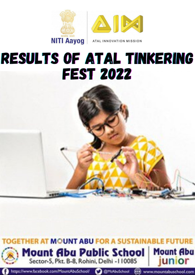

# RESULTS OF ATAL TINKERING FEST 2022



https://www.facebook.com/MountAbuSchool/ C @MtAbuSchool (E) www.mountabuschool.com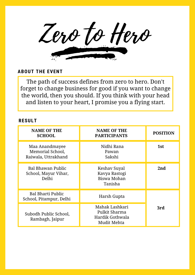Zero to Hero

The path of success defines from zero to hero. Don't forget to change business for good if you want to change the world, then you should. If you think with your head and listen to your heart, I promise you a flying start.

| <b>NAME OF THE</b><br><b>SCHOOL</b>                       | <b>NAME OF THE</b><br><b>PARTICIPANTS</b>                         | <b>POSITION</b> |
|-----------------------------------------------------------|-------------------------------------------------------------------|-----------------|
| Maa Anandmayee<br>Memorial School,<br>Raiwala, Uttrakhand | Nidhi Rana<br>Pawan<br>Sakshi                                     | 1st             |
| Bal Bhawan Public<br>School, Mayur Vihar,<br>Delhi        | Keshav Suyal<br>Kavya Rastogi<br>Biswa Mohan<br>Tanisha           | 2nd             |
| <b>Bal Bharti Public</b><br>School, Pitampur, Delhi       | Harsh Gupta                                                       |                 |
| Subodh Public School,<br>Rambagh, Jaipur                  | Mahak Lashkari<br>Pulkit Sharma<br>Hardik Gothwala<br>Mudit Mehta | 3rd             |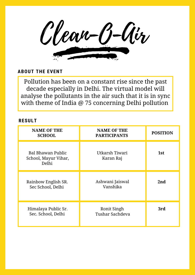Clean-O-Air

Pollution has been on a constant rise since the past decade especially in Delhi. The virtual model will analyse the pollutants in the air such that it is in sync with theme of India @ 75 concerning Delhi pollution

| <b>NAME OF THE</b><br><b>SCHOOL</b>                              | <b>NAME OF THE</b><br><b>PARTICIPANTS</b> | <b>POSITION</b> |
|------------------------------------------------------------------|-------------------------------------------|-----------------|
| <b>Bal Bhawan Public</b><br>School, Mayur Vihar,<br><b>Delhi</b> | Utkarsh Tiwari<br>Karan Raj               | 1st             |
| Rainbow English SR.<br>Sec School, Delhi                         | Ashwani Jaiswal<br>Vanshika               | 2nd             |
| Himalaya Public Sr.<br>Sec. School, Delhi                        | Ronit Singh<br>Tushar Sachdeva            | 3rd             |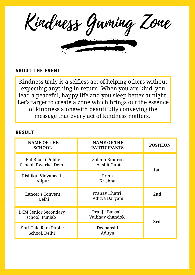Kindness Gaming Zone

Kindness truly is a selfless act of helping others without expecting anything in return. When you are kind, you lead a peaceful, happy life and you sleep better at night. Let's target to create a zone which brings out the essence of kindness alongwith beautifully conveying the message that every act of kindness matters.

| <b>NAME OF THE</b><br><b>SCHOOL</b>               | <b>NAME OF THE</b><br><b>PARTICIPANTS</b> | <b>POSITION</b> |
|---------------------------------------------------|-------------------------------------------|-----------------|
| <b>Bal Bharti Public</b><br>School, Dwarka, Delhi | Soham Bindroo<br>Akshit Gupta             | 1st             |
| Rishikul Vidyapeeth,<br>Alipur                    | Prem<br>Krishna                           |                 |
| Lancer's Convent,<br>Delhi                        | Pranay Khatri<br>Aditya Daryani           | 2nd             |
| <b>DCM Senior Secondary</b><br>school, Punjab     | Pranjil Bansal<br>Vaibhay chandok         | 3rd             |
| Shri Tula Ram Public<br>School, Delhi             | Deepanshi<br>Aditya                       |                 |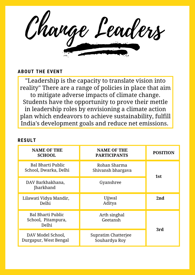Change Leaders

"Leadership is the capacity to translate vision into reality" There are a range of policies in place that aim to mitigate adverse impacts of climate change. Students have the opportunity to prove their mettle in leadership roles by envisioning a climate action plan which endeavors to achieve sustainability, fulfill India's development goals and reduce net emissions.

| <b>NAME OF THE</b><br><b>SCHOOL</b>                     | <b>NAME OF THE</b><br><b>PARTICIPANTS</b> | <b>POSITION</b> |
|---------------------------------------------------------|-------------------------------------------|-----------------|
| Bal Bharti Public<br>School, Dwarka, Delhi              | Rohan Sharma<br>Shivansh bhargava         | 1st             |
| DAV Barkhakhana,<br><b>Jharkhand</b>                    | Gyanshree                                 |                 |
| Lilawati Vidya Mandir,<br>Delhi                         | Ujjwal<br>Aditya                          | 2nd             |
| <b>Bal Bharti Public</b><br>School, Pitampura,<br>Delhi | Arth singhal<br>Geetansh                  |                 |
| DAV Model School,<br>Durgapur, West Bengal              | Supratim Chatterjee<br>Souhardya Roy      | 3rd             |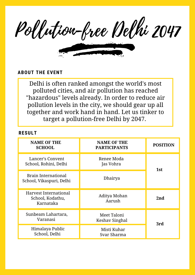Pollution-free Delhi 2047

Delhi is often ranked amongst the world's most polluted cities, and air pollution has reached "hazardous" levels already. In order to reduce air pollution levels in the city, we should gear up all together and work hand in hand. Let us tinker to target a pollution-free Delhi by 2047.

| <b>NAME OF THE</b><br><b>SCHOOL</b>                    | <b>NAME OF THE</b><br><b>PARTICIPANTS</b> | <b>POSITION</b> |
|--------------------------------------------------------|-------------------------------------------|-----------------|
| Lancer's Convent<br>School, Rohini, Delhi              | Renee Moda<br>Jas Vohra                   | 1st             |
| <b>Brain International</b><br>School, Vikaspuri, Delhi | Dhairya                                   |                 |
| Harvest International<br>School, Kodathu,<br>Karnataka | Aditya Mohan<br>Aarush                    | 2nd             |
| Sunbeam Lahartara,<br>Varanasi                         | Meet Taloni<br>Keshav Singhal             | 3rd             |
| Himalaya Public<br>School, Delhi                       | Misti Kuhar<br>Svar Sharma                |                 |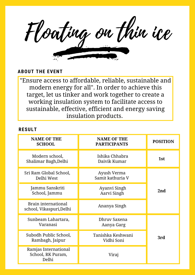Floating on thin ice

"Ensure access to affordable, reliable, sustainable and modern energy for all". In order to achieve this target, let us tinker and work together to create a working insulation system to facilitate access to sustainable, effective, efficient and energy saving insulation products.

| <b>NAME OF THE</b><br><b>SCHOOL</b>                    | <b>NAME OF THE</b><br><b>PARTICIPANTS</b> | <b>POSITION</b> |
|--------------------------------------------------------|-------------------------------------------|-----------------|
| Modern school,<br>Shalimar Bagh, Delhi                 | Ishika Chhabra<br>Daivik Kumar            | 1st             |
| Sri Ram Global School,<br>Delhi West                   | Ayush Verma<br>Samit kathuria V           |                 |
| Jammu Sanskriti<br>School, Jammu                       | Ayanvi Singh<br>Aarvi Singh               | 2nd             |
| <b>Brain international</b><br>school, Vikaspuri, Delhi | Ananya Singh                              |                 |
| Sunbeam Lahartara,<br>Varanasi                         | Dhruy Saxena<br>Aanya Garg                |                 |
| Subodh Public School,<br>Rambagh, Jaipur               | Tanishka Keshwani<br>Vidhi Soni           | 3rd             |
| Ramjas International<br>School, RK Puram,<br>Delhi     | Viraj                                     |                 |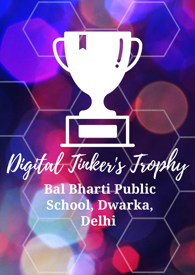Digital Tinker's Trophy **Bal Bharti Public School, Dwarka, Delhi**